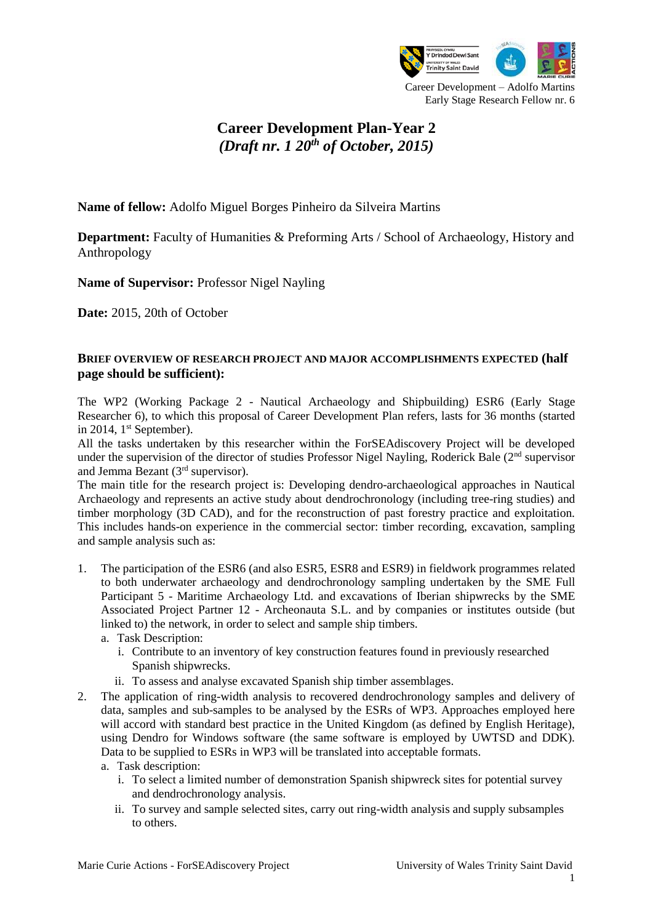

# **Career Development Plan-Year 2** *(Draft nr. 1 20th of October, 2015)*

**Name of fellow:** Adolfo Miguel Borges Pinheiro da Silveira Martins

**Department:** Faculty of Humanities & Preforming Arts / School of Archaeology, History and Anthropology

**Name of Supervisor:** Professor Nigel Nayling

**Date:** 2015, 20th of October

#### **BRIEF OVERVIEW OF RESEARCH PROJECT AND MAJOR ACCOMPLISHMENTS EXPECTED (half page should be sufficient):**

The WP2 (Working Package 2 - Nautical Archaeology and Shipbuilding) ESR6 (Early Stage Researcher 6), to which this proposal of Career Development Plan refers, lasts for 36 months (started in 2014,  $1<sup>st</sup>$  September).

All the tasks undertaken by this researcher within the ForSEAdiscovery Project will be developed under the supervision of the director of studies Professor Nigel Nayling, Roderick Bale (2<sup>nd</sup> supervisor and Jemma Bezant (3rd supervisor).

The main title for the research project is: Developing dendro-archaeological approaches in Nautical Archaeology and represents an active study about dendrochronology (including tree-ring studies) and timber morphology (3D CAD), and for the reconstruction of past forestry practice and exploitation. This includes hands-on experience in the commercial sector: timber recording, excavation, sampling and sample analysis such as:

- 1. The participation of the ESR6 (and also ESR5, ESR8 and ESR9) in fieldwork programmes related to both underwater archaeology and dendrochronology sampling undertaken by the SME Full Participant 5 - Maritime Archaeology Ltd. and excavations of Iberian shipwrecks by the SME Associated Project Partner 12 - Archeonauta S.L. and by companies or institutes outside (but linked to) the network, in order to select and sample ship timbers.
	- a. Task Description:
		- i. Contribute to an inventory of key construction features found in previously researched Spanish shipwrecks.
		- ii. To assess and analyse excavated Spanish ship timber assemblages.
- 2. The application of ring-width analysis to recovered dendrochronology samples and delivery of data, samples and sub-samples to be analysed by the ESRs of WP3. Approaches employed here will accord with standard best practice in the United Kingdom (as defined by English Heritage), using Dendro for Windows software (the same software is employed by UWTSD and DDK). Data to be supplied to ESRs in WP3 will be translated into acceptable formats.

a. Task description:

- i. To select a limited number of demonstration Spanish shipwreck sites for potential survey and dendrochronology analysis.
- ii. To survey and sample selected sites, carry out ring-width analysis and supply subsamples to others.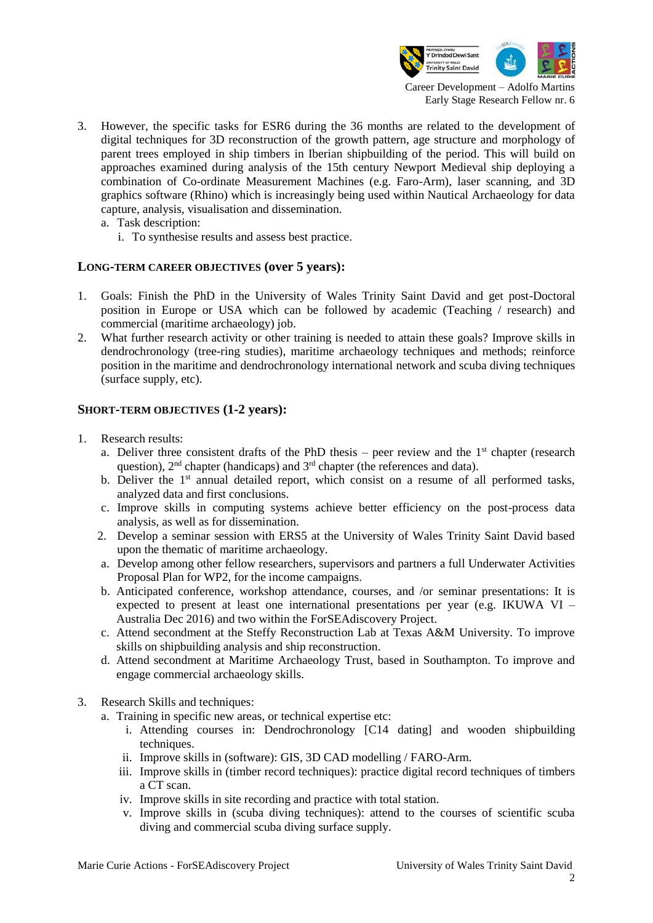

- 3. However, the specific tasks for ESR6 during the 36 months are related to the development of digital techniques for 3D reconstruction of the growth pattern, age structure and morphology of parent trees employed in ship timbers in Iberian shipbuilding of the period. This will build on approaches examined during analysis of the 15th century Newport Medieval ship deploying a combination of Co-ordinate Measurement Machines (e.g. Faro-Arm), laser scanning, and 3D graphics software (Rhino) which is increasingly being used within Nautical Archaeology for data capture, analysis, visualisation and dissemination.
	- a. Task description:
		- i. To synthesise results and assess best practice.

#### **LONG-TERM CAREER OBJECTIVES (over 5 years):**

- 1. Goals: Finish the PhD in the University of Wales Trinity Saint David and get post-Doctoral position in Europe or USA which can be followed by academic (Teaching / research) and commercial (maritime archaeology) job.
- 2. What further research activity or other training is needed to attain these goals? Improve skills in dendrochronology (tree-ring studies), maritime archaeology techniques and methods; reinforce position in the maritime and dendrochronology international network and scuba diving techniques (surface supply, etc).

#### **SHORT-TERM OBJECTIVES (1-2 years):**

- 1. Research results:
	- a. Deliver three consistent drafts of the PhD thesis peer review and the  $1<sup>st</sup>$  chapter (research question),  $2<sup>nd</sup>$  chapter (handicaps) and  $3<sup>rd</sup>$  chapter (the references and data).
	- b. Deliver the 1<sup>st</sup> annual detailed report, which consist on a resume of all performed tasks, analyzed data and first conclusions.
	- c. Improve skills in computing systems achieve better efficiency on the post-process data analysis, as well as for dissemination.
	- 2. Develop a seminar session with ERS5 at the University of Wales Trinity Saint David based upon the thematic of maritime archaeology.
	- a. Develop among other fellow researchers, supervisors and partners a full Underwater Activities Proposal Plan for WP2, for the income campaigns.
	- b. Anticipated conference, workshop attendance, courses, and /or seminar presentations: It is expected to present at least one international presentations per year (e.g. IKUWA VI – Australia Dec 2016) and two within the ForSEAdiscovery Project.
	- c. Attend secondment at the Steffy Reconstruction Lab at Texas A&M University. To improve skills on shipbuilding analysis and ship reconstruction.
	- d. Attend secondment at Maritime Archaeology Trust, based in Southampton. To improve and engage commercial archaeology skills.
- 3. Research Skills and techniques:
	- a. Training in specific new areas, or technical expertise etc:
		- i. Attending courses in: Dendrochronology [C14 dating] and wooden shipbuilding techniques.
		- ii. Improve skills in (software): GIS, 3D CAD modelling / FARO-Arm.
		- iii. Improve skills in (timber record techniques): practice digital record techniques of timbers a CT scan.
		- iv. Improve skills in site recording and practice with total station.
		- v. Improve skills in (scuba diving techniques): attend to the courses of scientific scuba diving and commercial scuba diving surface supply.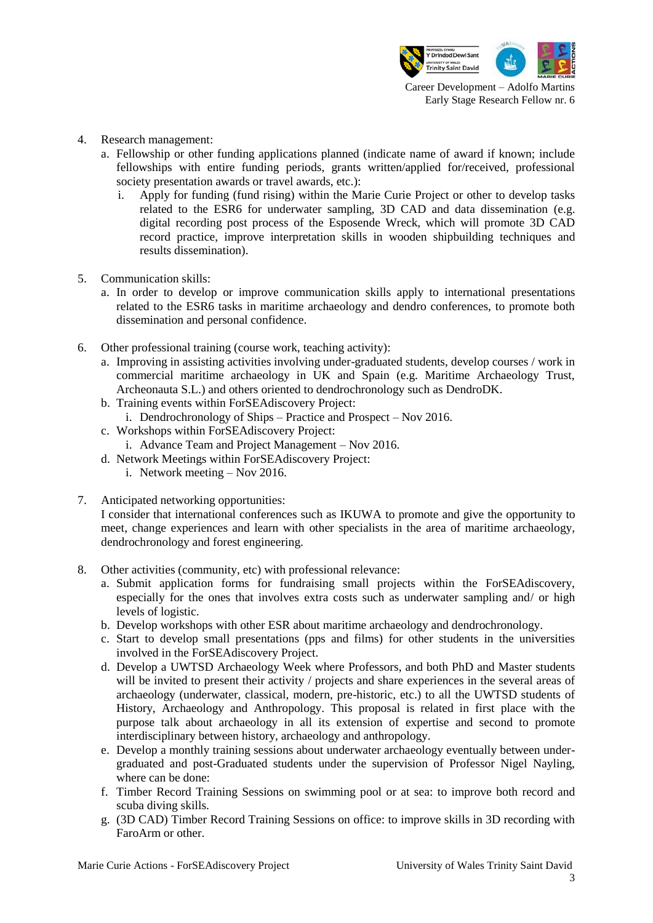

- 4. Research management:
	- a. Fellowship or other funding applications planned (indicate name of award if known; include fellowships with entire funding periods, grants written/applied for/received, professional society presentation awards or travel awards, etc.):
		- i. Apply for funding (fund rising) within the Marie Curie Project or other to develop tasks related to the ESR6 for underwater sampling, 3D CAD and data dissemination (e.g. digital recording post process of the Esposende Wreck, which will promote 3D CAD record practice, improve interpretation skills in wooden shipbuilding techniques and results dissemination).
- 5. Communication skills:
	- a. In order to develop or improve communication skills apply to international presentations related to the ESR6 tasks in maritime archaeology and dendro conferences, to promote both dissemination and personal confidence.
- 6. Other professional training (course work, teaching activity):
	- a. Improving in assisting activities involving under-graduated students, develop courses / work in commercial maritime archaeology in UK and Spain (e.g. Maritime Archaeology Trust, Archeonauta S.L.) and others oriented to dendrochronology such as DendroDK.
	- b. Training events within ForSEAdiscovery Project:
		- i. Dendrochronology of Ships Practice and Prospect Nov 2016.
	- c. Workshops within ForSEAdiscovery Project:
		- i. Advance Team and Project Management Nov 2016.
	- d. Network Meetings within ForSEAdiscovery Project:
		- i. Network meeting Nov 2016.
- 7. Anticipated networking opportunities:

I consider that international conferences such as IKUWA to promote and give the opportunity to meet, change experiences and learn with other specialists in the area of maritime archaeology, dendrochronology and forest engineering.

- 8. Other activities (community, etc) with professional relevance:
	- a. Submit application forms for fundraising small projects within the ForSEAdiscovery, especially for the ones that involves extra costs such as underwater sampling and/ or high levels of logistic.
	- b. Develop workshops with other ESR about maritime archaeology and dendrochronology.
	- c. Start to develop small presentations (pps and films) for other students in the universities involved in the ForSEAdiscovery Project.
	- d. Develop a UWTSD Archaeology Week where Professors, and both PhD and Master students will be invited to present their activity / projects and share experiences in the several areas of archaeology (underwater, classical, modern, pre-historic, etc.) to all the UWTSD students of History, Archaeology and Anthropology. This proposal is related in first place with the purpose talk about archaeology in all its extension of expertise and second to promote interdisciplinary between history, archaeology and anthropology.
	- e. Develop a monthly training sessions about underwater archaeology eventually between undergraduated and post-Graduated students under the supervision of Professor Nigel Nayling, where can be done:
	- f. Timber Record Training Sessions on swimming pool or at sea: to improve both record and scuba diving skills.
	- g. (3D CAD) Timber Record Training Sessions on office: to improve skills in 3D recording with FaroArm or other.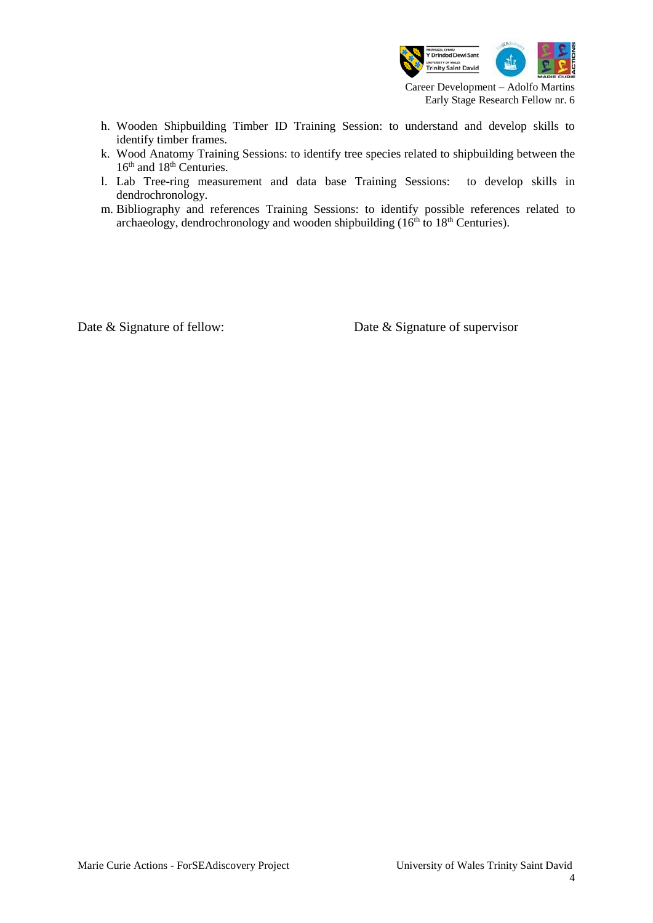

- h. Wooden Shipbuilding Timber ID Training Session: to understand and develop skills to identify timber frames.
- k. Wood Anatomy Training Sessions: to identify tree species related to shipbuilding between the 16<sup>th</sup> and 18<sup>th</sup> Centuries.
- l. Lab Tree-ring measurement and data base Training Sessions: to develop skills in dendrochronology.
- m. Bibliography and references Training Sessions: to identify possible references related to archaeology, dendrochronology and wooden shipbuilding  $(16<sup>th</sup>$  to  $18<sup>th</sup>$  Centuries).

Date & Signature of fellow: Date & Signature of supervisor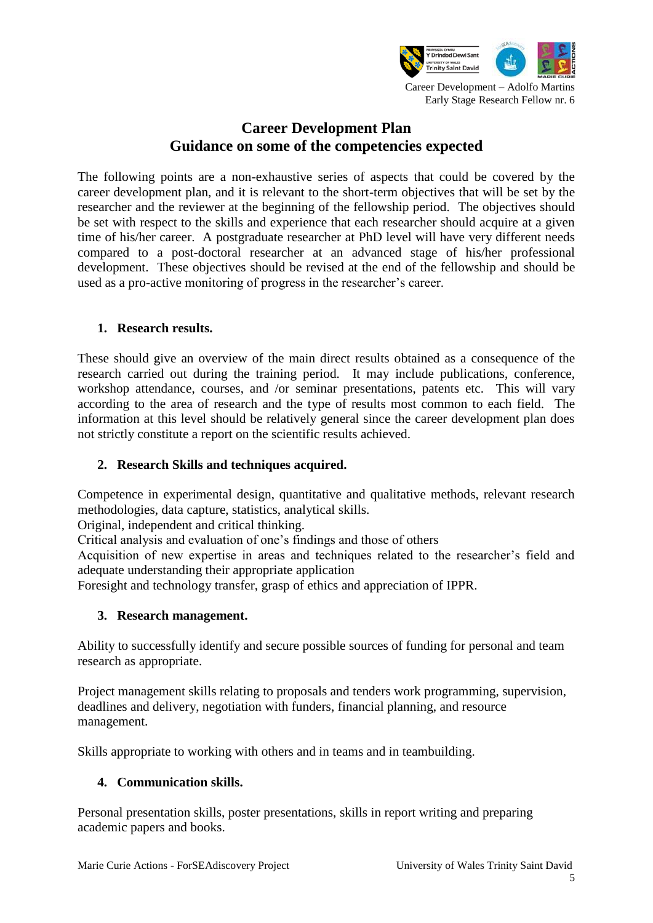

# **Career Development Plan Guidance on some of the competencies expected**

The following points are a non-exhaustive series of aspects that could be covered by the career development plan, and it is relevant to the short-term objectives that will be set by the researcher and the reviewer at the beginning of the fellowship period. The objectives should be set with respect to the skills and experience that each researcher should acquire at a given time of his/her career. A postgraduate researcher at PhD level will have very different needs compared to a post-doctoral researcher at an advanced stage of his/her professional development. These objectives should be revised at the end of the fellowship and should be used as a pro-active monitoring of progress in the researcher's career.

# **1. Research results.**

These should give an overview of the main direct results obtained as a consequence of the research carried out during the training period. It may include publications, conference, workshop attendance, courses, and /or seminar presentations, patents etc. This will vary according to the area of research and the type of results most common to each field. The information at this level should be relatively general since the career development plan does not strictly constitute a report on the scientific results achieved.

# **2. Research Skills and techniques acquired.**

Competence in experimental design, quantitative and qualitative methods, relevant research methodologies, data capture, statistics, analytical skills.

Original, independent and critical thinking.

Critical analysis and evaluation of one's findings and those of others

Acquisition of new expertise in areas and techniques related to the researcher's field and adequate understanding their appropriate application

Foresight and technology transfer, grasp of ethics and appreciation of IPPR.

## **3. Research management.**

Ability to successfully identify and secure possible sources of funding for personal and team research as appropriate.

Project management skills relating to proposals and tenders work programming, supervision, deadlines and delivery, negotiation with funders, financial planning, and resource management.

Skills appropriate to working with others and in teams and in teambuilding.

## **4. Communication skills.**

Personal presentation skills, poster presentations, skills in report writing and preparing academic papers and books.